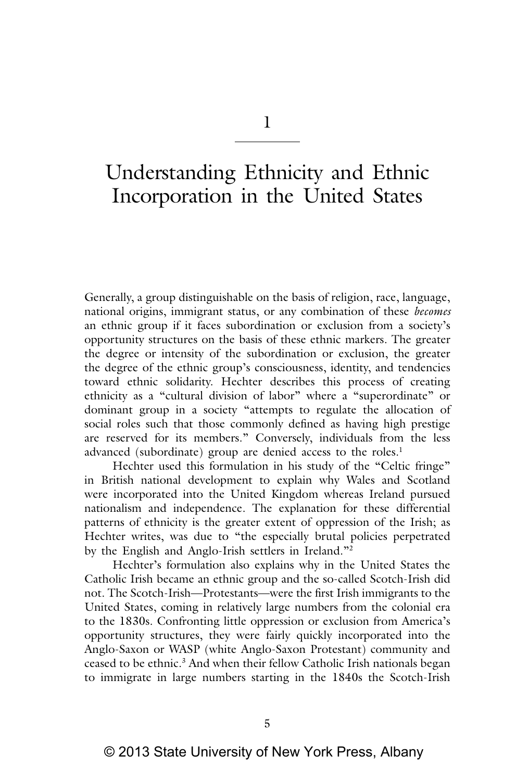1

# Understanding Ethnicity and Ethnic Incorporation in the United States

Generally, a group distinguishable on the basis of religion, race, language, national origins, immigrant status, or any combination of these *becomes* an ethnic group if it faces subordination or exclusion from a society's opportunity structures on the basis of these ethnic markers. The greater the degree or intensity of the subordination or exclusion, the greater the degree of the ethnic group's consciousness, identity, and tendencies toward ethnic solidarity. Hechter describes this process of creating ethnicity as a "cultural division of labor" where a "superordinate" or dominant group in a society "attempts to regulate the allocation of social roles such that those commonly defined as having high prestige are reserved for its members." Conversely, individuals from the less advanced (subordinate) group are denied access to the roles.<sup>1</sup>

Hechter used this formulation in his study of the "Celtic fringe" in British national development to explain why Wales and Scotland were incorporated into the United Kingdom whereas Ireland pursued nationalism and independence. The explanation for these differential patterns of ethnicity is the greater extent of oppression of the Irish; as Hechter writes, was due to "the especially brutal policies perpetrated by the English and Anglo‑Irish settlers in Ireland."2

Hechter's formulation also explains why in the United States the Catholic Irish became an ethnic group and the so‑called Scotch‑Irish did not. The Scotch‑Irish—Protestants—were the first Irish immigrants to the United States, coming in relatively large numbers from the colonial era to the 1830s. Confronting little oppression or exclusion from America's opportunity structures, they were fairly quickly incorporated into the Anglo‑Saxon or WASP (white Anglo‑Saxon Protestant) community and ceased to be ethnic.<sup>3</sup> And when their fellow Catholic Irish nationals began to immigrate in large numbers starting in the 1840s the Scotch-Irish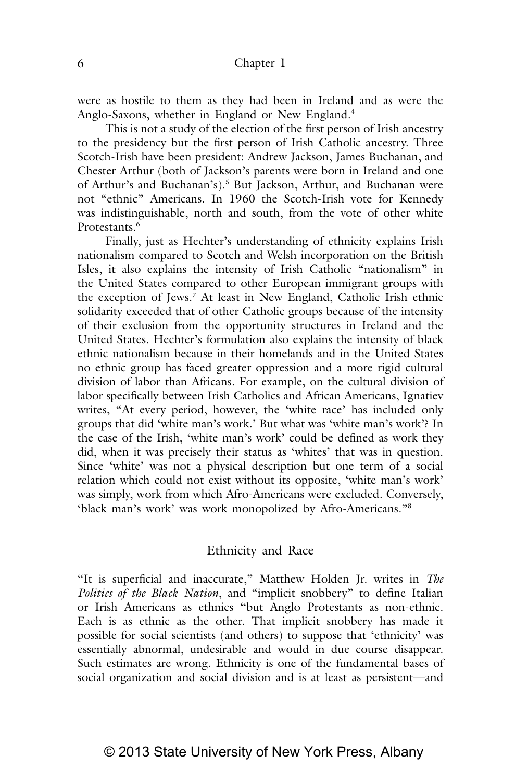were as hostile to them as they had been in Ireland and as were the Anglo-Saxons, whether in England or New England.<sup>4</sup>

This is not a study of the election of the first person of Irish ancestry to the presidency but the first person of Irish Catholic ancestry. Three Scotch-Irish have been president: Andrew Jackson, James Buchanan, and Chester Arthur (both of Jackson's parents were born in Ireland and one of Arthur's and Buchanan's).<sup>5</sup> But Jackson, Arthur, and Buchanan were not "ethnic" Americans. In 1960 the Scotch‑Irish vote for Kennedy was indistinguishable, north and south, from the vote of other white Protestants.<sup>6</sup>

Finally, just as Hechter's understanding of ethnicity explains Irish nationalism compared to Scotch and Welsh incorporation on the British Isles, it also explains the intensity of Irish Catholic "nationalism" in the United States compared to other European immigrant groups with the exception of Jews.7 At least in New England, Catholic Irish ethnic solidarity exceeded that of other Catholic groups because of the intensity of their exclusion from the opportunity structures in Ireland and the United States. Hechter's formulation also explains the intensity of black ethnic nationalism because in their homelands and in the United States no ethnic group has faced greater oppression and a more rigid cultural division of labor than Africans. For example, on the cultural division of labor specifically between Irish Catholics and African Americans, Ignatiev writes, "At every period, however, the 'white race' has included only groups that did 'white man's work.' But what was 'white man's work'? In the case of the Irish, 'white man's work' could be defined as work they did, when it was precisely their status as 'whites' that was in question. Since 'white' was not a physical description but one term of a social relation which could not exist without its opposite, 'white man's work' was simply, work from which Afro‑Americans were excluded. Conversely, 'black man's work' was work monopolized by Afro‑Americans."8

#### Ethnicity and Race

"It is superficial and inaccurate," Matthew Holden Jr. writes in *The Politics of the Black Nation*, and "implicit snobbery" to define Italian or Irish Americans as ethnics "but Anglo Protestants as non‑ethnic. Each is as ethnic as the other. That implicit snobbery has made it possible for social scientists (and others) to suppose that 'ethnicity' was essentially abnormal, undesirable and would in due course disappear. Such estimates are wrong. Ethnicity is one of the fundamental bases of social organization and social division and is at least as persistent—and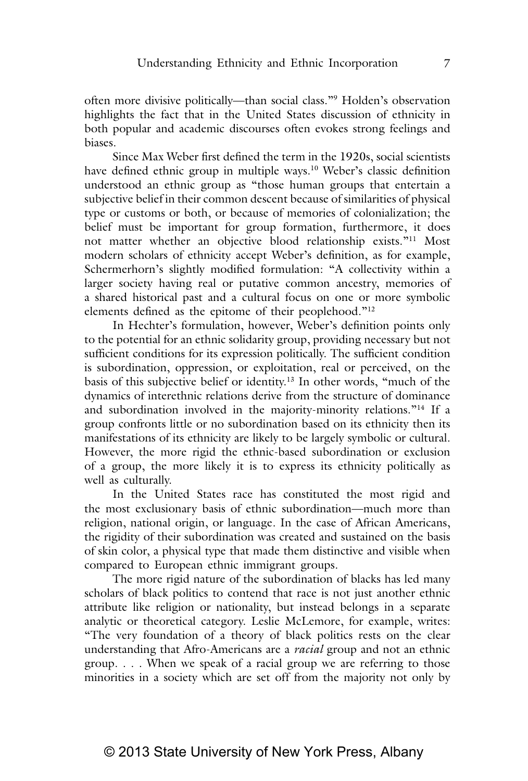often more divisive politically—than social class."9 Holden's observation highlights the fact that in the United States discussion of ethnicity in both popular and academic discourses often evokes strong feelings and biases.

Since Max Weber first defined the term in the 1920s, social scientists have defined ethnic group in multiple ways.<sup>10</sup> Weber's classic definition understood an ethnic group as "those human groups that entertain a subjective belief in their common descent because of similarities of physical type or customs or both, or because of memories of colonialization; the belief must be important for group formation, furthermore, it does not matter whether an objective blood relationship exists."11 Most modern scholars of ethnicity accept Weber's definition, as for example, Schermerhorn's slightly modified formulation: "A collectivity within a larger society having real or putative common ancestry, memories of a shared historical past and a cultural focus on one or more symbolic elements defined as the epitome of their peoplehood."12

In Hechter's formulation, however, Weber's definition points only to the potential for an ethnic solidarity group, providing necessary but not sufficient conditions for its expression politically. The sufficient condition is subordination, oppression, or exploitation, real or perceived, on the basis of this subjective belief or identity.13 In other words, "much of the dynamics of interethnic relations derive from the structure of dominance and subordination involved in the majority-minority relations."<sup>14</sup> If a group confronts little or no subordination based on its ethnicity then its manifestations of its ethnicity are likely to be largely symbolic or cultural. However, the more rigid the ethnic‑based subordination or exclusion of a group, the more likely it is to express its ethnicity politically as well as culturally.

In the United States race has constituted the most rigid and the most exclusionary basis of ethnic subordination—much more than religion, national origin, or language. In the case of African Americans, the rigidity of their subordination was created and sustained on the basis of skin color, a physical type that made them distinctive and visible when compared to European ethnic immigrant groups.

The more rigid nature of the subordination of blacks has led many scholars of black politics to contend that race is not just another ethnic attribute like religion or nationality, but instead belongs in a separate analytic or theoretical category. Leslie McLemore, for example, writes: "The very foundation of a theory of black politics rests on the clear understanding that Afro‑Americans are a *racial* group and not an ethnic group. . . . When we speak of a racial group we are referring to those minorities in a society which are set off from the majority not only by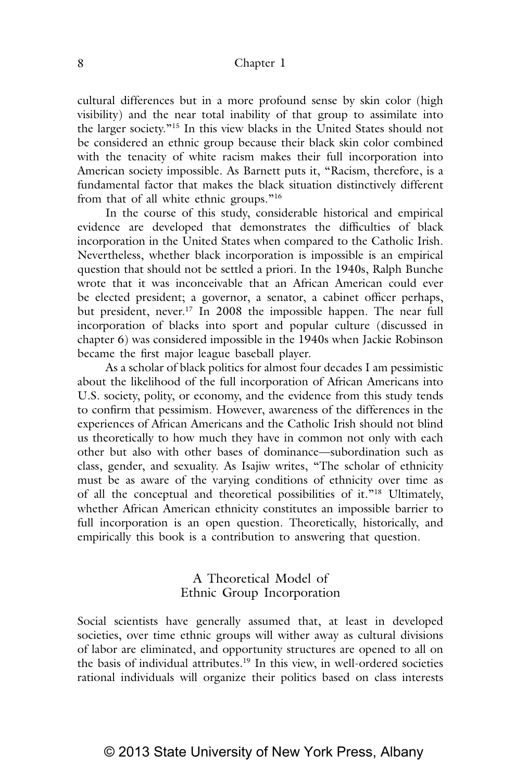#### 8 Chapter 1

cultural differences but in a more profound sense by skin color (high visibility) and the near total inability of that group to assimilate into the larger society."15 In this view blacks in the United States should not be considered an ethnic group because their black skin color combined with the tenacity of white racism makes their full incorporation into American society impossible. As Barnett puts it, "Racism, therefore, is a fundamental factor that makes the black situation distinctively different from that of all white ethnic groups."<sup>16</sup>

In the course of this study, considerable historical and empirical evidence are developed that demonstrates the difficulties of black incorporation in the United States when compared to the Catholic Irish. Nevertheless, whether black incorporation is impossible is an empirical question that should not be settled a priori. In the 1940s, Ralph Bunche wrote that it was inconceivable that an African American could ever be elected president; a governor, a senator, a cabinet officer perhaps, but president, never.<sup>17</sup> In 2008 the impossible happen. The near full incorporation of blacks into sport and popular culture (discussed in chapter 6) was considered impossible in the 1940s when Jackie Robinson became the first major league baseball player.

As a scholar of black politics for almost four decades I am pessimistic about the likelihood of the full incorporation of African Americans into U.S. society, polity, or economy, and the evidence from this study tends to confirm that pessimism. However, awareness of the differences in the experiences of African Americans and the Catholic Irish should not blind us theoretically to how much they have in common not only with each other but also with other bases of dominance—subordination such as class, gender, and sexuality. As Isajiw writes, "The scholar of ethnicity must be as aware of the varying conditions of ethnicity over time as of all the conceptual and theoretical possibilities of it."18 Ultimately, whether African American ethnicity constitutes an impossible barrier to full incorporation is an open question. Theoretically, historically, and empirically this book is a contribution to answering that question.

## A Theoretical Model of Ethnic Group Incorporation

Social scientists have generally assumed that, at least in developed societies, over time ethnic groups will wither away as cultural divisions of labor are eliminated, and opportunity structures are opened to all on the basis of individual attributes.<sup>19</sup> In this view, in well-ordered societies rational individuals will organize their politics based on class interests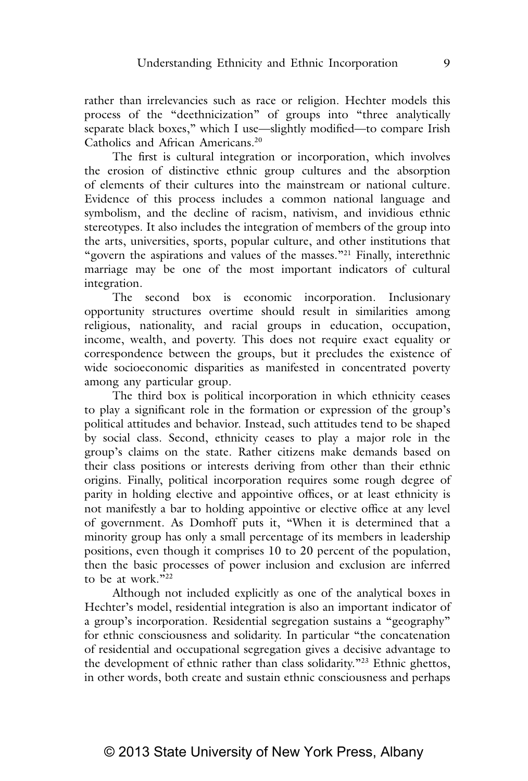rather than irrelevancies such as race or religion. Hechter models this process of the "deethnicization" of groups into "three analytically separate black boxes," which I use—slightly modified—to compare Irish Catholics and African Americans.20

The first is cultural integration or incorporation, which involves the erosion of distinctive ethnic group cultures and the absorption of elements of their cultures into the mainstream or national culture. Evidence of this process includes a common national language and symbolism, and the decline of racism, nativism, and invidious ethnic stereotypes. It also includes the integration of members of the group into the arts, universities, sports, popular culture, and other institutions that "govern the aspirations and values of the masses."<sup>21</sup> Finally, interethnic marriage may be one of the most important indicators of cultural integration.

The second box is economic incorporation. Inclusionary opportunity structures overtime should result in similarities among religious, nationality, and racial groups in education, occupation, income, wealth, and poverty. This does not require exact equality or correspondence between the groups, but it precludes the existence of wide socioeconomic disparities as manifested in concentrated poverty among any particular group.

The third box is political incorporation in which ethnicity ceases to play a significant role in the formation or expression of the group's political attitudes and behavior. Instead, such attitudes tend to be shaped by social class. Second, ethnicity ceases to play a major role in the group's claims on the state. Rather citizens make demands based on their class positions or interests deriving from other than their ethnic origins. Finally, political incorporation requires some rough degree of parity in holding elective and appointive offices, or at least ethnicity is not manifestly a bar to holding appointive or elective office at any level of government. As Domhoff puts it, "When it is determined that a minority group has only a small percentage of its members in leadership positions, even though it comprises 10 to 20 percent of the population, then the basic processes of power inclusion and exclusion are inferred to be at work."22

Although not included explicitly as one of the analytical boxes in Hechter's model, residential integration is also an important indicator of a group's incorporation. Residential segregation sustains a "geography" for ethnic consciousness and solidarity. In particular "the concatenation of residential and occupational segregation gives a decisive advantage to the development of ethnic rather than class solidarity."23 Ethnic ghettos, in other words, both create and sustain ethnic consciousness and perhaps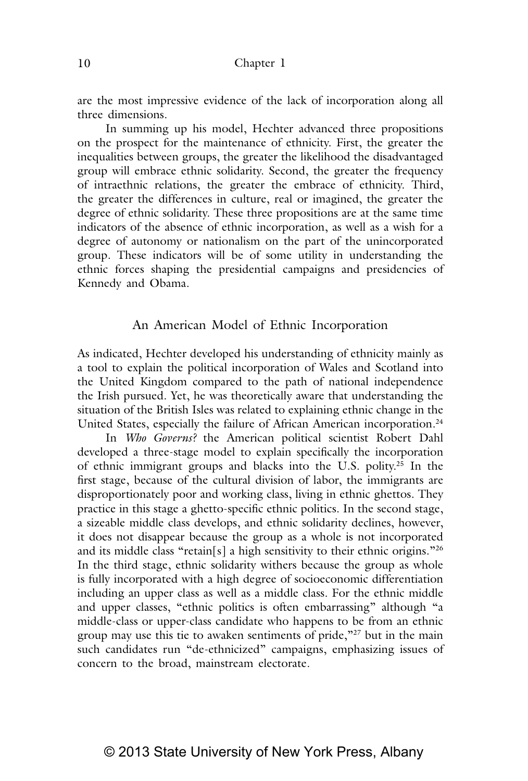are the most impressive evidence of the lack of incorporation along all three dimensions.

In summing up his model, Hechter advanced three propositions on the prospect for the maintenance of ethnicity. First, the greater the inequalities between groups, the greater the likelihood the disadvantaged group will embrace ethnic solidarity. Second, the greater the frequency of intraethnic relations, the greater the embrace of ethnicity. Third, the greater the differences in culture, real or imagined, the greater the degree of ethnic solidarity. These three propositions are at the same time indicators of the absence of ethnic incorporation, as well as a wish for a degree of autonomy or nationalism on the part of the unincorporated group. These indicators will be of some utility in understanding the ethnic forces shaping the presidential campaigns and presidencies of Kennedy and Obama.

### An American Model of Ethnic Incorporation

As indicated, Hechter developed his understanding of ethnicity mainly as a tool to explain the political incorporation of Wales and Scotland into the United Kingdom compared to the path of national independence the Irish pursued. Yet, he was theoretically aware that understanding the situation of the British Isles was related to explaining ethnic change in the United States, especially the failure of African American incorporation.<sup>24</sup>

In *Who Governs?* the American political scientist Robert Dahl developed a three‑stage model to explain specifically the incorporation of ethnic immigrant groups and blacks into the U.S. polity.25 In the first stage, because of the cultural division of labor, the immigrants are disproportionately poor and working class, living in ethnic ghettos. They practice in this stage a ghetto‑specific ethnic politics. In the second stage, a sizeable middle class develops, and ethnic solidarity declines, however, it does not disappear because the group as a whole is not incorporated and its middle class "retain[s] a high sensitivity to their ethnic origins."<sup>26</sup> In the third stage, ethnic solidarity withers because the group as whole is fully incorporated with a high degree of socioeconomic differentiation including an upper class as well as a middle class. For the ethnic middle and upper classes, "ethnic politics is often embarrassing" although "a middle‑class or upper‑class candidate who happens to be from an ethnic group may use this tie to awaken sentiments of pride,"<sup>27</sup> but in the main such candidates run "de ethnicized" campaigns, emphasizing issues of concern to the broad, mainstream electorate.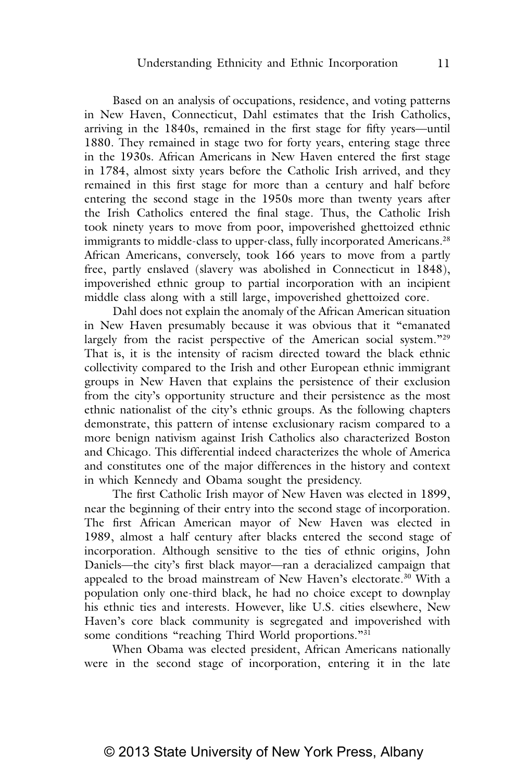Based on an analysis of occupations, residence, and voting patterns in New Haven, Connecticut, Dahl estimates that the Irish Catholics, arriving in the 1840s, remained in the first stage for fifty years—until 1880. They remained in stage two for forty years, entering stage three in the 1930s. African Americans in New Haven entered the first stage in 1784, almost sixty years before the Catholic Irish arrived, and they remained in this first stage for more than a century and half before entering the second stage in the 1950s more than twenty years after the Irish Catholics entered the final stage. Thus, the Catholic Irish took ninety years to move from poor, impoverished ghettoized ethnic immigrants to middle-class to upper-class, fully incorporated Americans.<sup>28</sup> African Americans, conversely, took 166 years to move from a partly free, partly enslaved (slavery was abolished in Connecticut in 1848), impoverished ethnic group to partial incorporation with an incipient middle class along with a still large, impoverished ghettoized core.

Dahl does not explain the anomaly of the African American situation in New Haven presumably because it was obvious that it "emanated largely from the racist perspective of the American social system."<sup>29</sup> That is, it is the intensity of racism directed toward the black ethnic collectivity compared to the Irish and other European ethnic immigrant groups in New Haven that explains the persistence of their exclusion from the city's opportunity structure and their persistence as the most ethnic nationalist of the city's ethnic groups. As the following chapters demonstrate, this pattern of intense exclusionary racism compared to a more benign nativism against Irish Catholics also characterized Boston and Chicago. This differential indeed characterizes the whole of America and constitutes one of the major differences in the history and context in which Kennedy and Obama sought the presidency.

The first Catholic Irish mayor of New Haven was elected in 1899, near the beginning of their entry into the second stage of incorporation. The first African American mayor of New Haven was elected in 1989, almost a half century after blacks entered the second stage of incorporation. Although sensitive to the ties of ethnic origins, John Daniels—the city's first black mayor—ran a deracialized campaign that appealed to the broad mainstream of New Haven's electorate.30 With a population only one‑third black, he had no choice except to downplay his ethnic ties and interests. However, like U.S. cities elsewhere, New Haven's core black community is segregated and impoverished with some conditions "reaching Third World proportions."<sup>31</sup>

When Obama was elected president, African Americans nationally were in the second stage of incorporation, entering it in the late